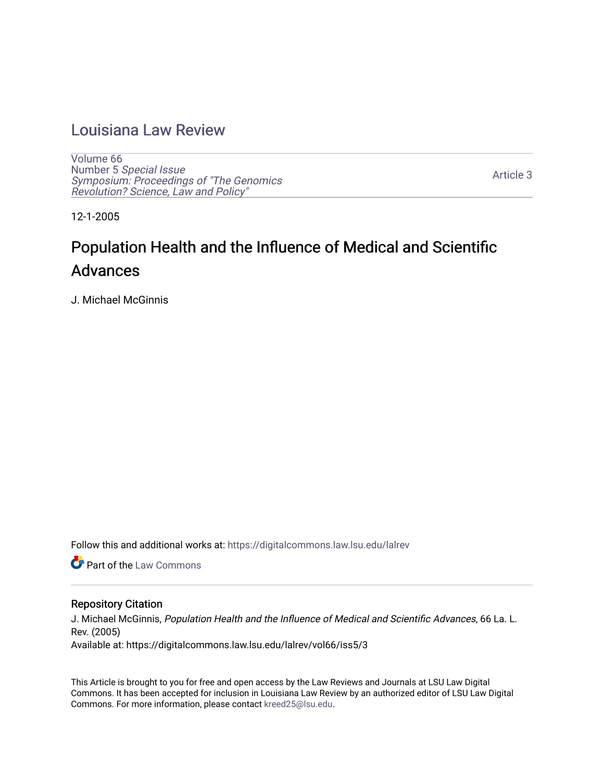## [Louisiana Law Review](https://digitalcommons.law.lsu.edu/lalrev)

[Volume 66](https://digitalcommons.law.lsu.edu/lalrev/vol66) Number 5 [Special Issue](https://digitalcommons.law.lsu.edu/lalrev/vol66/iss5) [Symposium: Proceedings of "The Genomics](https://digitalcommons.law.lsu.edu/lalrev/vol66/iss5)  [Revolution? Science, Law and Policy"](https://digitalcommons.law.lsu.edu/lalrev/vol66/iss5) 

[Article 3](https://digitalcommons.law.lsu.edu/lalrev/vol66/iss5/3) 

12-1-2005

## Population Health and the Influence of Medical and Scientific Advances

J. Michael McGinnis

Follow this and additional works at: [https://digitalcommons.law.lsu.edu/lalrev](https://digitalcommons.law.lsu.edu/lalrev?utm_source=digitalcommons.law.lsu.edu%2Flalrev%2Fvol66%2Fiss5%2F3&utm_medium=PDF&utm_campaign=PDFCoverPages)

**C** Part of the [Law Commons](https://network.bepress.com/hgg/discipline/578?utm_source=digitalcommons.law.lsu.edu%2Flalrev%2Fvol66%2Fiss5%2F3&utm_medium=PDF&utm_campaign=PDFCoverPages)

#### Repository Citation

J. Michael McGinnis, Population Health and the Influence of Medical and Scientific Advances, 66 La. L. Rev. (2005) Available at: https://digitalcommons.law.lsu.edu/lalrev/vol66/iss5/3

This Article is brought to you for free and open access by the Law Reviews and Journals at LSU Law Digital Commons. It has been accepted for inclusion in Louisiana Law Review by an authorized editor of LSU Law Digital Commons. For more information, please contact [kreed25@lsu.edu](mailto:kreed25@lsu.edu).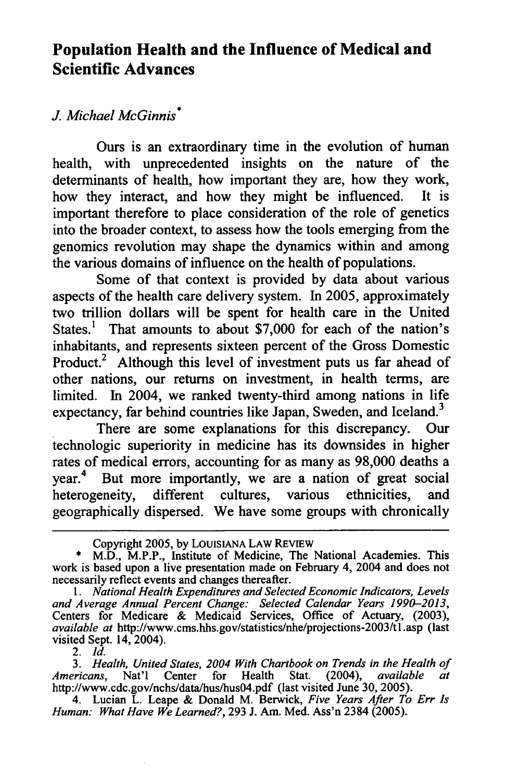### **Population Health and the Influence of Medical and Scientific Advances**

### *J. Michael McGinnis* **\***

Ours is an extraordinary time in the evolution of human health, with unprecedented insights on the nature of the determinants of health, how important they are, how they work, how they interact, and how they might be influenced. It is important therefore to place consideration of the role of genetics into the broader context, to assess how the tools emerging from the genomics revolution may shape the dynamics within and among the various domains of influence on the health of populations.

Some of that context is provided by data about various aspects of the health care delivery system. In 2005, approximately two trillion dollars will be spent for health care in the United States.<sup>1</sup> That amounts to about \$7,000 for each of the nation's inhabitants, and represents sixteen percent of the Gross Domestic Product.<sup>2</sup> Although this level of investment puts us far ahead of other nations, our returns on investment, in health terms, are limited. In 2004, we ranked twenty-third among nations in life expectancy, far behind countries like Japan, Sweden, and Iceland.<sup>3</sup>

There are some explanations for this discrepancy. Our technologic superiority in medicine has its downsides in higher rates of medical errors, accounting for as many as 98,000 deaths a year.4 But more importantly, we are a nation of great social heterogeneity, different cultures, various ethnicities, and geographically dispersed. We have some groups with chronically

*2. Id.* 

3. Health, United States, 2004 With Chartbook on Trends in the Health of *Americans,* Nat'l Center for Health Stat. (2004), *available at*  <http://www.cdc.gov/nchs/data/hus/hus04.pdf> (last visited June 30, 2005).

Copyright 2005, by LOuIsIANA LAW REVIEW

<sup>\*</sup> M.D., M.P.P., Institute of Medicine, The National Academies. This work is based upon a live presentation made on February 4, 2004 and does not necessarily reflect events and changes thereafter.

<sup>1.</sup> National Health Expenditures and Selected Economic Indicators, Levels *and Average Annual Percent Change: Selected Calendar Years 1990-2013,*  Centers for Medicare & Medicaid Services, Office of Actuary, (2003), *available at* <http://www.cms.hhs.gov/statistics/nhe/projections-2003/tl.asp>(last visited Sept. 14, 2004).

<sup>4.</sup> Lucian L. Leape & Donald M. Berwick, *Five Years After To Err Is Human: What Have We Learned?,* 293 J. Am. Med. Ass'n 2384 (2005).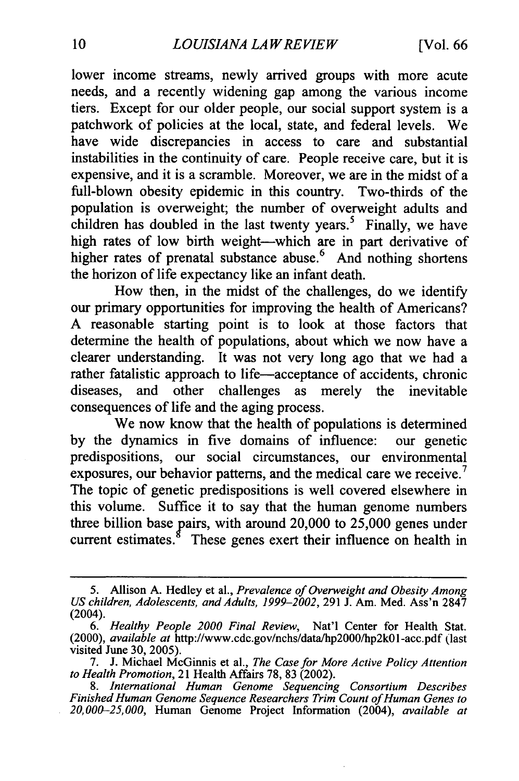lower income streams, newly arrived groups with more acute needs, and a recently widening gap among the various income tiers. Except for our older people, our social support system is a patchwork of policies at the local, state, and federal levels. We have wide discrepancies in access to care and substantial instabilities in the continuity of care. People receive care, but it is expensive, and it is a scramble. Moreover, we are in the midst of a full-blown obesity epidemic in this country. Two-thirds of the population is overweight; the number of overweight adults and children has doubled in the last twenty years.<sup>5</sup> Finally, we have high rates of low birth weight-which are in part derivative of higher rates of prenatal substance abuse.<sup>6</sup> And nothing shortens the horizon of life expectancy like an infant death.

How then, in the midst of the challenges, do we identify our primary opportunities for improving the health of Americans? A reasonable starting point is to look at those factors that determine the health of populations, about which we now have a clearer understanding. It was not very long ago that we had a rather fatalistic approach to life-acceptance of accidents, chronic diseases, and other challenges as merely the inevitable consequences of life and the aging process.

We now know that the health of populations is determined by the dynamics in five domains of influence: our genetic predispositions, our social circumstances, our environmental exposures, our behavior patterns, and the medical care we receive.<sup>7</sup> The topic of genetic predispositions is well covered elsewhere in this volume. Suffice it to say that the human genome numbers three billion base pairs, with around 20,000 to 25,000 genes under current estimates.<sup>8</sup> These genes exert their influence on health in

<sup>5.</sup> Allison A. Hedley et al., Prevalence of Overweight and Obesity Among US children, Adolescents, and Adults, 1999-2002, 291 J. Am. Med. Ass'n 2847 (2004).

*<sup>6.</sup> Healthy People 2000 Final Review,* Nat'l Center for Health Stat. (2000), *available at* <http://www.cdc.gov/nchs/data/hp2000/hp2kOl-acc.pdf> (last visited June 30, 2005).

<sup>7.</sup> J. Michael McGinnis et al., *The Casefor More Active Policy Attention to Health Promotion,*21 Health Affairs 78, 83 (2002).

*<sup>8.</sup> International Human Genome Sequencing Consortium Describes FinishedHuman Genome Sequence ResearchersTrim Count ofHuman Genes to 20,000-25,000,* Human Genome Project Information (2004), *available at*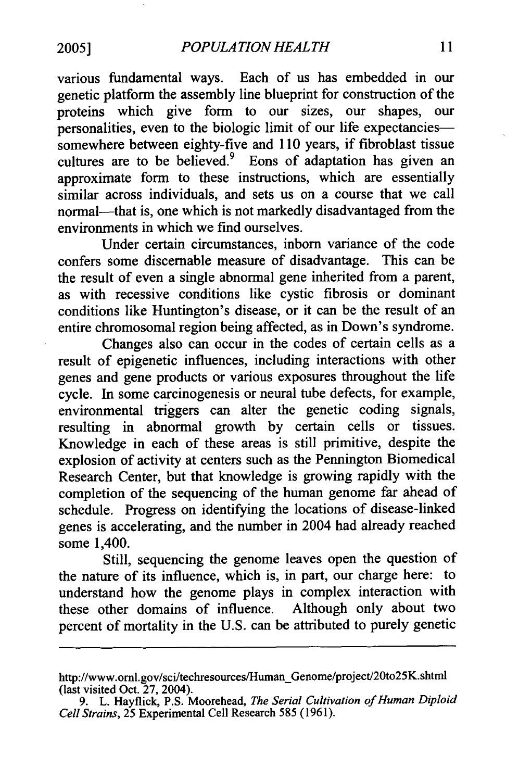various fundamental ways. Each of us has embedded in our genetic platform the assembly line blueprint for construction of the proteins which give form to our sizes, our shapes, our personalities, even to the biologic limit of our life expectanciessomewhere between eighty-five and 110 years, if fibroblast tissue cultures are to be believed.<sup>9</sup> Eons of adaptation has given an approximate form to these instructions, which are essentially similar across individuals, and sets us on a course that we call normal-that is, one which is not markedly disadvantaged from the environments in which we find ourselves.

Under certain circumstances, inborn variance of the code confers some discernable measure of disadvantage. This can be the result of even a single abnormal gene inherited from a parent, as with recessive conditions like cystic fibrosis or dominant conditions like Huntington's disease, or it can be the result of an entire chromosomal region being affected, as in Down's syndrome.

Changes also can occur in the codes of certain cells as a result of epigenetic influences, including interactions with other genes and gene products or various exposures throughout the life cycle. In some carcinogenesis or neural tube defects, for example, environmental triggers can alter the genetic coding signals, resulting in abnormal growth by certain cells or tissues. Knowledge in each of these areas is still primitive, despite the explosion of activity at centers such as the Pennington Biomedical Research Center, but that knowledge is growing rapidly with the completion of the sequencing of the human genome far ahead of schedule. Progress on identifying the locations of disease-linked genes is accelerating, and the number in 2004 had already reached some 1,400.

Still, sequencing the genome leaves open the question of the nature of its influence, which is, in part, our charge here: to understand how the genome plays in complex interaction with these other domains of influence. Although only about two percent of mortality in the U.S. can be attributed to purely genetic

http://www.ornl.gov/sci/techresources/Human\_Genome/project/20to25K.shtn (last visited Oct. 27, 2004).

<sup>9.</sup> L. Hayflick, P.S. Moorehead, *The Serial Cultivation of Human Diploid Cell Strains,*25 Experimental Cell Research 585 (1961).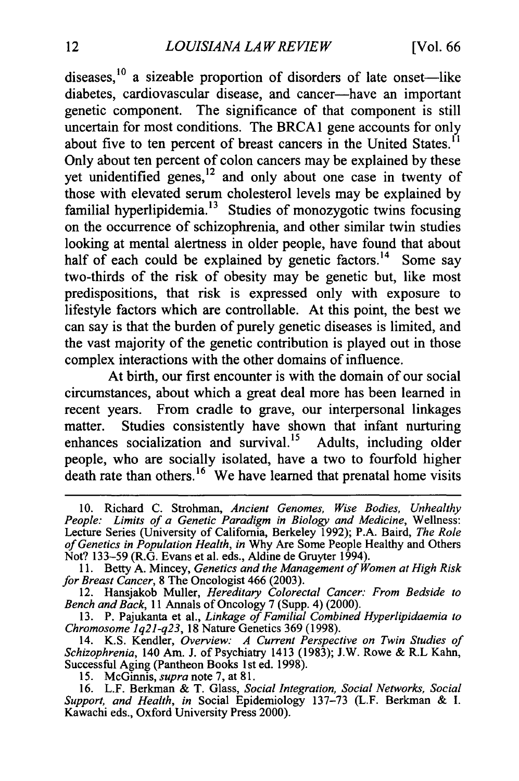diseases, $^{10}$  a sizeable proportion of disorders of late onset—like diabetes, cardiovascular disease, and cancer-have an important genetic component. The significance of that component is still uncertain for most conditions. The BRCA1 gene accounts for only about five to ten percent of breast cancers in the United States.<sup>11</sup> Only about ten percent of colon cancers may be explained by these yet unidentified genes,<sup>12</sup> and only about one case in twenty of those with elevated serum cholesterol levels may be explained by familial hyperlipidemia.<sup>13</sup> Studies of monozygotic twins focusing on the occurrence of schizophrenia, and other similar twin studies looking at mental alertness in older people, have found that about half of each could be explained by genetic factors.<sup>14</sup> Some say two-thirds of the risk of obesity may be genetic but, like most predispositions, that risk is expressed only with exposure to lifestyle factors which are controllable. At this point, the best we can say is that the burden of purely genetic diseases is limited, and the vast majority of the genetic contribution is played out in those complex interactions with the other domains of influence.

At birth, our first encounter is with the domain of our social circumstances, about which a great deal more has been learned in recent years. From cradle to grave, our interpersonal linkages matter. Studies consistently have shown that infant nurturing enhances socialization and survival.<sup>15</sup> Adults, including older people, who are socially isolated, have a two to fourfold higher death rate than others.<sup>16</sup> We have learned that prenatal home visits

<sup>10.</sup> Richard C. Strohman, *Ancient Genomes, Wise Bodies, Unhealthy People: Limits of a Genetic Paradigm in Biology and Medicine,* Wellness: Lecture Series (University of California, Berkeley 1992); P.A. Baird, *The Role*  of Genetics in Population Health, in Why Are Some People Healthy and Others Not? 133-59 (R.G. Evans et al. eds., Aldine de Gruyter 1994).

<sup>11.</sup> Betty A. Mincey, *Genetics and the Management of Women at High Risk* for Breast Cancer, 8 The Oncologist 466 (2003).

<sup>12.</sup> Hansjakob Muller, *Hereditary Colorectal Cancer. From Bedside to Bench andBack,* 11 Annals of Oncology 7 (Supp. 4) (2000).

<sup>13.</sup> P. Pajukanta et al., *Linkage of Familial Combined Hyperlipidaemia to Chromosome 1q21-q23,* 18 Nature Genetics 369 (1998).

<sup>14.</sup> K.S. Kendler, Overview: A Current Perspective on Twin Studies of *Schizophrenia,* 140 Am. J. of Psychiatry 1413 (1983); J.W. Rowe & R.L Kahn, Successful Aging (Pantheon Books 1st ed. 1998).

<sup>15.</sup> McGinnis, *supra*note 7, at 81.

<sup>16.</sup> L.F. Berkman & T. Glass, *Social Integration, Social Networks, Social Support, and Health, in* Social Epidemiology 137-73 (L.F. Berkman & I. Kawachi eds., Oxford University Press 2000).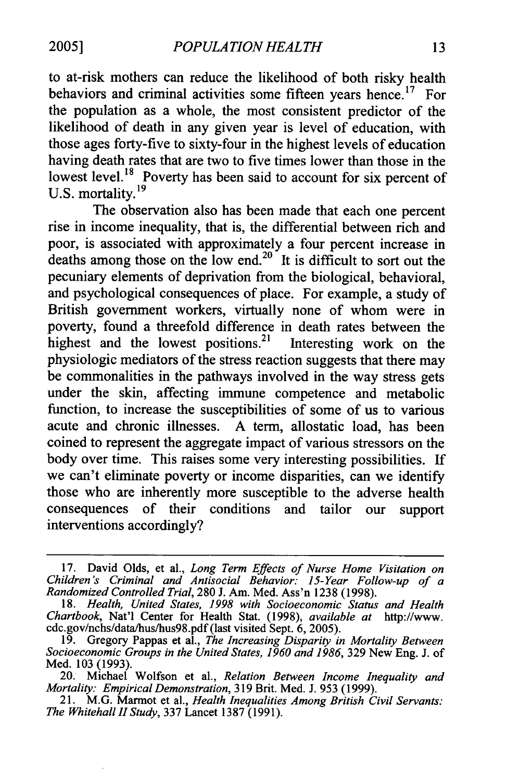**2005]** *POPULATIONHEALTH* 

to at-risk mothers can reduce the likelihood of both risky health behaviors and criminal activities some fifteen years hence.<sup>17</sup> For the population as a whole, the most consistent predictor of the likelihood of death in any given year is level of education, with those ages forty-five to sixty-four in the highest levels of education having death rates that are two to five times lower than those in the lowest level.<sup>18</sup> Poverty has been said to account for six percent of U.S. mortality. **<sup>19</sup>**

The observation also has been made that each one percent rise in income inequality, that is, the differential between rich and poor, is associated with approximately a four percent increase in deaths among those on the low end.<sup>20</sup> It is difficult to sort out the pecuniary elements of deprivation from the biological, behavioral, and psychological consequences of place. For example, a study of British government workers, virtually none of whom were in poverty, found a threefold difference in death rates between the highest and the lowest positions.<sup>21</sup> Interesting work on the physiologic mediators of the stress reaction suggests that there may be commonalities in the pathways involved in the way stress gets under the skin, affecting immune competence and metabolic function, to increase the susceptibilities of some of us to various acute and chronic illnesses. A term, allostatic load, has been coined to represent the aggregate impact of various stressors on the body over time. This raises some very interesting possibilities. If we can't eliminate poverty or income disparities, can we identify those who are inherently more susceptible to the adverse health consequences of their conditions and tailor our support interventions accordingly?

<sup>17.</sup> David Olds, et al., *Long Term Effects of Nurse Home Visitation on Children's Criminal and Antisocial Behavior: 15-Year Follow-up of a Randomized ControlledTrial,*280 J. Am. Med. Ass'n 1238 (1998).

<sup>18.</sup> *Health, United States, 1998 with Socioeconomic Status and Health Chartbook,* Nat'l Center for Health Stat. (1998), *available at* <http://www>. [cdc.gov/nchs/data/hus/hus98.pdf](https://cdc.gov/nchs/data/hus/hus98.pdf) (last visited Sept. 6, 2005).

<sup>19.</sup> Gregory Pappas et al., *The Increasing Disparity in Mortality Between Socioeconomic Groups in the United States, 1960 and 1986, 329 New Eng. J. of* Med. 103 (1993).

<sup>20.</sup> Michael Wolfson et al., *Relation Between Income Inequality and Mortality: EmpiricalDemonstration,*319 Brit. Med. J. 953 (1999).

<sup>21.</sup> M.G. Marmot et al., *Health Inequalities Among British Civil Servants: The WhitehallII Study,* 337 Lancet 1387 (1991).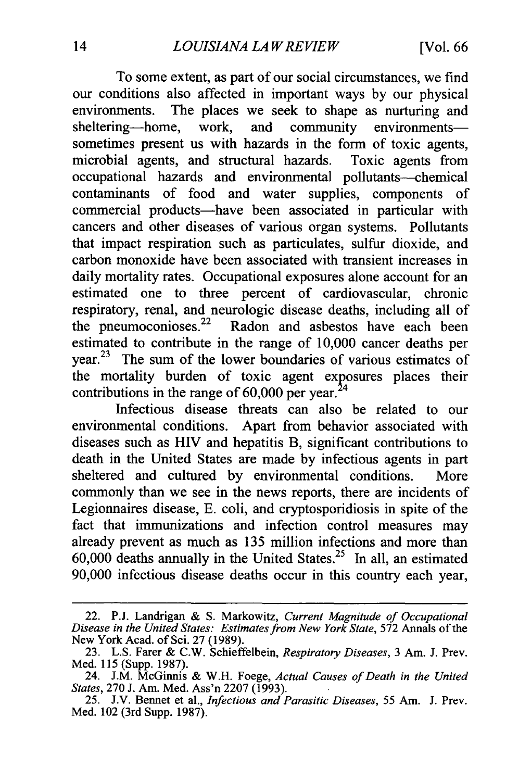To some extent, as part of our social circumstances, we find our conditions also affected in important ways by our physical environments. The places we seek to shape as nurturing and sheltering-home, work, and community environmentssometimes present us with hazards in the form of toxic agents, microbial agents, and structural hazards. Toxic agents from occupational hazards and environmental pollutants--chemical contaminants of food and water supplies, components of commercial products—have been associated in particular with cancers and other diseases of various organ systems. Pollutants that impact respiration such as particulates, sulfur dioxide, and carbon monoxide have been associated with transient increases in daily mortality rates. Occupational exposures alone account for an estimated one to three percent of cardiovascular, chronic respiratory, renal, and neurologic disease deaths, including all of the pneumoconioses. $22$  Radon and asbestos have each been estimated to contribute in the range of 10,000 cancer deaths per year.<sup>23</sup> The sum of the lower boundaries of various estimates of the mortality burden of toxic agent exposures places their contributions in the range of  $60,000$  per year.<sup>24</sup>

Infectious disease threats can also be related to our environmental conditions. Apart from behavior associated with diseases such as HIV and hepatitis B, significant contributions to death in the United States are made by infectious agents in part sheltered and cultured by environmental conditions. More commonly than we see in the news reports, there are incidents of Legionnaires disease, E. coli, and cryptosporidiosis in spite of the fact that immunizations and infection control measures may already prevent as much as 135 million infections and more than  $60,000$  deaths annually in the United [States.](https://States.25)<sup>25</sup> In all, an estimated 90,000 infectious disease deaths occur in this country each year,

<sup>22.</sup> P.J. Landrigan & S. Markowitz, *Current Magnitude of Occupational Diseasein the UnitedStates: Estimatesfrom New York State,* 572 Annals of the New York Acad. of Sci. 27 (1989).

<sup>23.</sup> L.S. Farer & C.W. Schieffelbein, *RespiratoryDiseases,* 3 Am. J. Prev. Med. 115 (Supp. 1987).

<sup>24.</sup> J.M. McGinnis & W.H. Foege, *Actual Causes of Death in the United States,* 270 J. Am. Med. Ass'n 2207 (1993).

<sup>25.</sup> J.V. Bennet et al., *Infectious and Parasitic Diseases*, 55 Am. J. Prev. Med. 102 (3rd Supp. 1987).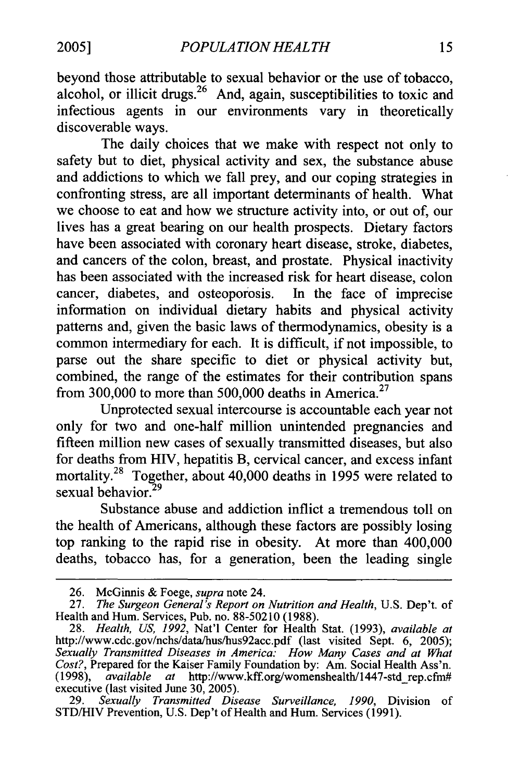beyond those attributable to sexual behavior or the use of tobacco, alcohol, or illicit drugs.<sup>26</sup> And, again, susceptibilities to toxic and infectious agents in our environments vary in theoretically discoverable ways.

The daily choices that we make with respect not only to safety but to diet, physical activity and sex, the substance abuse and addictions to which we fall prey, and our coping strategies in confronting stress, are all important determinants of health. What we choose to eat and how we structure activity into, or out of, our lives has a great bearing on our health prospects. Dietary factors have been associated with coronary heart disease, stroke, diabetes, and cancers of the colon, breast, and prostate. Physical inactivity has been associated with the increased risk for heart disease, colon cancer, diabetes, and osteoporosis. In the face of imprecise information on individual dietary habits and physical activity patterns and, given the basic laws of thermodynamics, obesity is a common intermediary for each. It is difficult, if not impossible, to parse out the share specific to diet or physical activity but, combined, the range of the estimates for their contribution spans from 300,000 to more than 500,000 deaths in America.<sup>27</sup>

Unprotected sexual intercourse is accountable each year not only for two and one-half million unintended pregnancies and fifteen million new cases of sexually transmitted diseases, but also for deaths from HIV, hepatitis B, cervical cancer, and excess infant [mortality.](https://mortality.28)28 Together, about 40,000 deaths in 1995 were related to sexual [behavior.](https://behavior.29)<sup>29</sup>

Substance abuse and addiction inflict a tremendous toll on the health of Americans, although these factors are possibly losing top ranking to the rapid rise in obesity. At more than 400,000 deaths, tobacco has, for a generation, been the leading single

<sup>26.</sup> McGinnis & Foege, *supra*note 24.

<sup>27.</sup> *The Surgeon General's Report on Nutrition and Health*, U.S. Dep't. of Health and Hum. Services, Pub. no. 88-50210 (1988).

<sup>28.</sup> *Health, US, 1992,* Nat'l Center for Health Stat. (1993), *available at*  <http://www.cdc.gov/nchs/data/hus/hus92acc.pdf> (last visited Sept. 6, 2005); *Sexually Transmitted Diseases in America: How Many Cases and at What Cost?,* Prepared for the Kaiser Family Foundation by: Am. Social Health Ass'n. (1998), *available at* <http://www.kff.org/womenshealth/1447-std-rep.cfm># executive (last visited June 30, 2005).

<sup>29.</sup> *Sexually Transmitted Disease Surveillance, 1990,* Division of STD/HIV Prevention, U.S. Dep't of Health and Hum. Services (1991).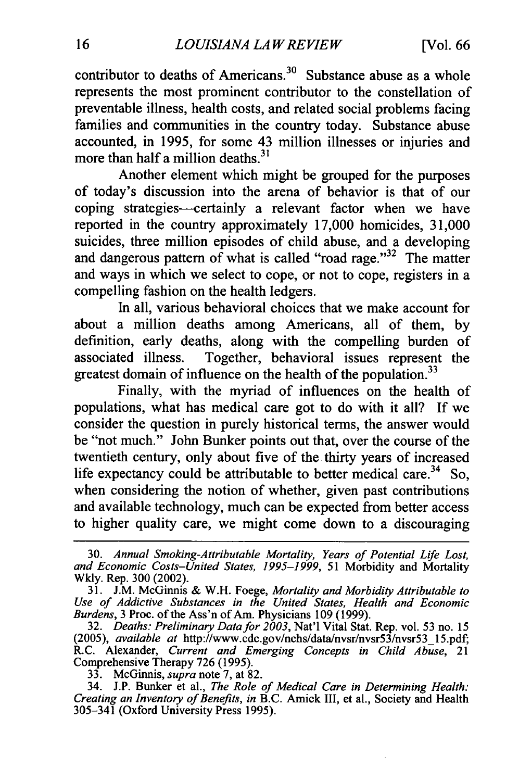contributor to deaths of Americans. $30$  Substance abuse as a whole represents the most prominent contributor to the constellation of preventable illness, health costs, and related social problems facing families and communities in the country today. Substance abuse accounted, in 1995, for some 43 million illnesses or injuries and more than half a million deaths.<sup>31</sup>

Another element which might be grouped for the purposes of today's discussion into the arena of behavior is that of our coping strategies-certainly a relevant factor when we have reported in the country approximately 17,000 homicides, 31,000 suicides, three million episodes of child abuse, and a developing and dangerous pattern of what is called "road rage." $32$  The matter and ways in which we select to cope, or not to cope, registers in a compelling fashion on the health ledgers.

In all, various behavioral choices that we make account for about a million deaths among Americans, all of them, by definition, early deaths, along with the compelling burden of associated illness. Together, behavioral issues represent the greatest domain of influence on the health of the population.<sup>33</sup>

Finally, with the myriad of influences on the health of populations, what has medical care got to do with it all? If we consider the question in purely historical terms, the answer would be "not much." John Bunker points out that, over the course of the twentieth century, only about five of the thirty years of increased life expectancy could be attributable to better medical care.<sup>34</sup> So, when considering the notion of whether, given past contributions and available technology, much can be expected from better access to higher quality care, we might come down to a discouraging

33. McGinnis, *supra*note 7, at 82.

<sup>30.</sup> *Annual Smoking-Attributable Mortality, Years of Potential Life Lost, and Economic Costs-United States, 1995-1999,* 51 Morbidity and Mortality Wkly. Rep. 300 (2002).

<sup>31.</sup> J.M. McGinnis & W.H. Foege, *Mortality and Morbidity Attributable to Use of Addictive Substances in the United States, Health and Economic Burdens,* 3 Proc. of the Ass'n of Am. Physicians 109 (1999).

<sup>32.</sup> *Deaths:PreliminaryDatafor 2003,* Nat'l Vital Stat. Rep. vol. 53 no. 15 *(2005), available at* [http://www.cdc.gov/nchs/data/nvsr/nvsr53/nvsr53\\_15.pdf;](http://www.cdc.gov/nchs/data/nvsr/nvsr53/nvsr53_15.pdf) R.C. Alexander, *Current and Emerging Concepts in Child Abuse,* 21 Comprehensive Therapy 726 (1995).

<sup>34.</sup> J.P. Bunker et al., *The Role of Medical Care in Determining Health: Creatingan Inventory of Benefits, in* B.C. Amick III, et al., Society and Health 305-341 (Oxford University Press 1995).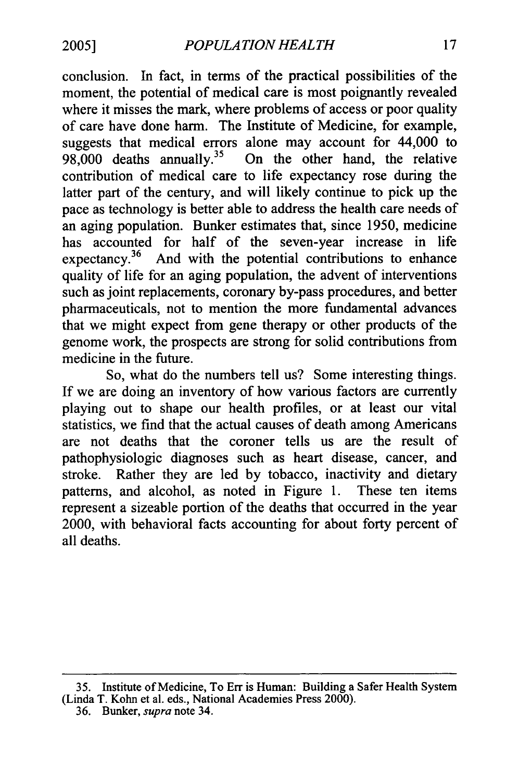conclusion. In fact, in terms of the practical possibilities of the moment, the potential of medical care is most poignantly revealed where it misses the mark, where problems of access or poor quality of care have done harm. The Institute of Medicine, for example, suggests that medical errors alone may account for  $44,000$  to  $98,000$  deaths annually.<sup>35</sup> On the other hand, the relative On the other hand, the relative contribution of medical care to life expectancy rose during the latter part of the century, and will likely continue to pick up the pace as technology is better able to address the health care needs of an aging population. Bunker estimates that, since 1950, medicine has accounted for half of the seven-year increase in life expectancy.<sup>36</sup> And with the potential contributions to enhance quality of life for an aging population, the advent of interventions such as joint replacements, coronary by-pass procedures, and better pharmaceuticals, not to mention the more fundamental advances that we might expect from gene therapy or other products of the genome work, the prospects are strong for solid contributions from medicine in the future.

So, what do the numbers tell us? Some interesting things. If we are doing an inventory of how various factors are currently playing out to shape our health profiles, or at least our vital statistics, we find that the actual causes of death among Americans are not deaths that the coroner tells us are the result of pathophysiologic diagnoses such as heart disease, cancer, and stroke. Rather they are led by tobacco, inactivity and dietary patterns, and alcohol, as noted in Figure 1. These ten items represent a sizeable portion of the deaths that occurred in the year 2000, with behavioral facts accounting for about forty percent of all deaths.

<sup>35.</sup> Institute of Medicine, To Err is Human: Building a Safer Health System (Linda T. Kohn et al. eds., National Academies Press 2000).

<sup>36.</sup> Bunker, *supra*note 34.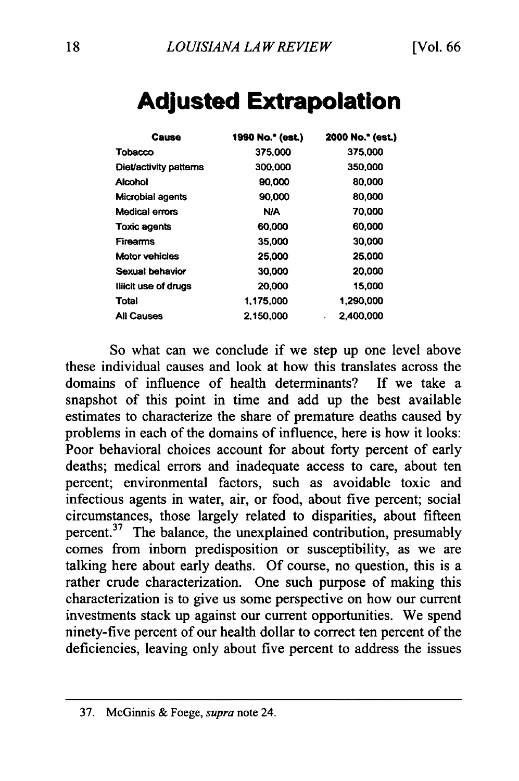| Cause                   | 1990 No.* (est.) | 2000 No.* (est.) |
|-------------------------|------------------|------------------|
| Tobacco                 | 375,000          | 375,000          |
| Diet/activity patterns  | 300,000          | 350,000          |
| Aicohol                 | 90,000           | 80,000           |
| <b>Microbial agents</b> | 90,000           | 80,000           |
| Medical errors          | <b>N/A</b>       | 70,000           |
| Toxic agents            | 60,000           | 60.000           |
| <b>Firearms</b>         | 35,000           | 30,000           |
| <b>Motor vehicles</b>   | 25,000           | 25,000           |
| Sexual behavior         | 30,000           | 20,000           |
| Illicit use of drugs    | 20,000           | 15,000           |
| Total                   | 1,175,000        | 1,290,000        |
| <b>All Causes</b>       | 2.150.000        | 2.400,000<br>٠   |

# **Adjusted Extrapolation**

So what can we conclude if we step up one level above these individual causes and look at how this translates across the domains of influence of health determinants? If we take a snapshot of this point in time and add up the best available estimates to characterize the share of premature deaths caused by problems in each of the domains of influence, here is how it looks: Poor behavioral choices account for about forty percent of early deaths; medical errors and inadequate access to care, about ten percent; environmental factors, such as avoidable toxic and infectious agents in water, air, or food, about five percent; social circumstances, those largely related to disparities, about fifteen percent.<sup>37</sup> The balance, the unexplained contribution, presumably comes from inborn predisposition or susceptibility, as we are talking here about early deaths. Of course, no question, this is a rather crude characterization. One such purpose of making this characterization is to give us some perspective on how our current investments stack up against our current opportunities. We spend ninety-five percent of our health dollar to correct ten percent of the deficiencies, leaving only about five percent to address the issues

<sup>37.</sup> McGinnis & Foege, *supra*note 24.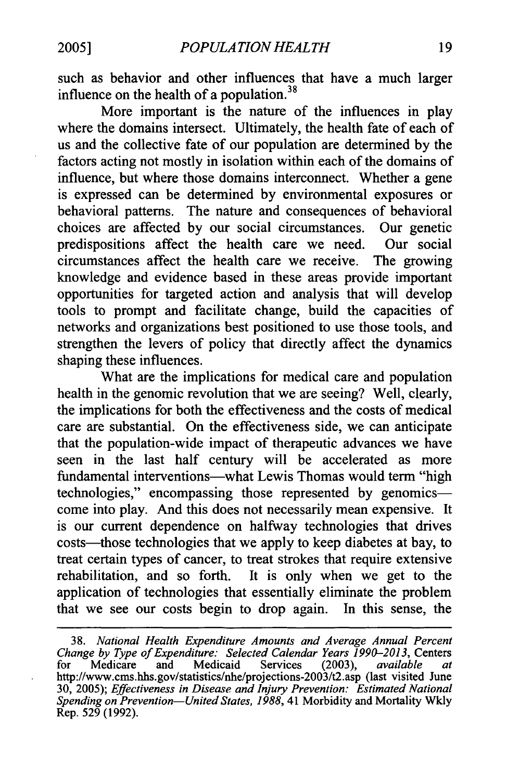such as behavior and other influences that have a much larger influence on the health of a population.<sup>38</sup>

More important is the nature of the influences in play where the domains intersect. Ultimately, the health fate of each of us and the collective fate of our population are determined by the factors acting not mostly in isolation within each of the domains of influence, but where those domains interconnect. Whether a gene is expressed can be determined by environmental exposures or behavioral patterns. The nature and consequences of behavioral choices are affected by our social circumstances. Our genetic predispositions affect the health care we need. Our social circumstances affect the health care we receive. The growing knowledge and evidence based in these areas provide important opportunities for targeted action and analysis that will develop tools to prompt and facilitate change, build the capacities of networks and organizations best positioned to use those tools, and strengthen the levers of policy that directly affect the dynamics shaping these influences.

What are the implications for medical care and population health in the genomic revolution that we are seeing? Well, clearly, the implications for both the effectiveness and the costs of medical care are substantial. On the effectiveness side, we can anticipate that the population-wide impact of therapeutic advances we have seen in the last half century will be accelerated as more fundamental interventions-what Lewis Thomas would term "high technologies," encompassing those represented by genomicscome into play. And this does not necessarily mean expensive. It is our current dependence on halfway technologies that drives costs—those technologies that we apply to keep diabetes at bay, to treat certain types of cancer, to treat strokes that require extensive rehabilitation, and so forth. It is only when we get to the application of technologies that essentially eliminate the problem that we see our costs begin to drop again. In this sense, the

<sup>38.</sup> *National Health Expenditure Amounts and Average Annual Percent Change by Type of Expenditure: Selected Calendar Years 1990-2013, Centers* for Medicare and Medicaid Services (2003), *available at* for Medicare and Medicaid Services (2003), *available at*  <http://www.cms.hhs.gov/statistics/nhe/projections-2003/t2.asp>(last visited June 30, 2005); *Effectiveness in Disease and Injury Prevention:* Estimated National *Spending on Prevention-UnitedStates, 1988,* 41 Morbidity and Mortality Wkly Rep. 529 (1992).